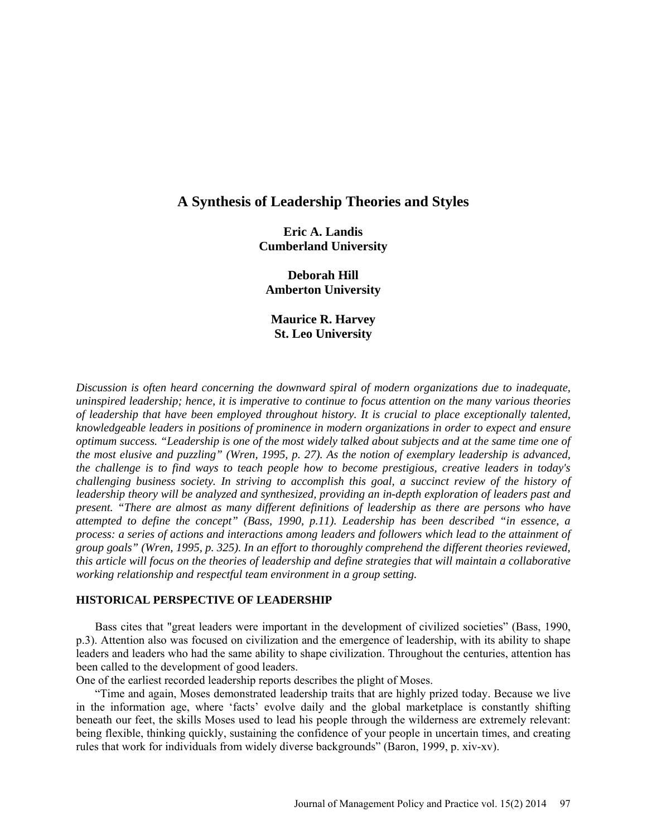# **A Synthesis of Leadership Theories and Styles**

**Eric A. Landis Cumberland University**

**Deborah Hill Amberton University**

**Maurice R. Harvey St. Leo University**

*Discussion is often heard concerning the downward spiral of modern organizations due to inadequate, uninspired leadership; hence, it is imperative to continue to focus attention on the many various theories of leadership that have been employed throughout history. It is crucial to place exceptionally talented, knowledgeable leaders in positions of prominence in modern organizations in order to expect and ensure optimum success. "Leadership is one of the most widely talked about subjects and at the same time one of the most elusive and puzzling" (Wren, 1995, p. 27). As the notion of exemplary leadership is advanced, the challenge is to find ways to teach people how to become prestigious, creative leaders in today's challenging business society. In striving to accomplish this goal, a succinct review of the history of leadership theory will be analyzed and synthesized, providing an in-depth exploration of leaders past and present. "There are almost as many different definitions of leadership as there are persons who have attempted to define the concept" (Bass, 1990, p.11). Leadership has been described "in essence, a process: a series of actions and interactions among leaders and followers which lead to the attainment of group goals" (Wren, 1995, p. 325). In an effort to thoroughly comprehend the different theories reviewed, this article will focus on the theories of leadership and define strategies that will maintain a collaborative working relationship and respectful team environment in a group setting.*

# **HISTORICAL PERSPECTIVE OF LEADERSHIP**

Bass cites that "great leaders were important in the development of civilized societies" (Bass, 1990, p.3). Attention also was focused on civilization and the emergence of leadership, with its ability to shape leaders and leaders who had the same ability to shape civilization. Throughout the centuries, attention has been called to the development of good leaders.

One of the earliest recorded leadership reports describes the plight of Moses.

"Time and again, Moses demonstrated leadership traits that are highly prized today. Because we live in the information age, where 'facts' evolve daily and the global marketplace is constantly shifting beneath our feet, the skills Moses used to lead his people through the wilderness are extremely relevant: being flexible, thinking quickly, sustaining the confidence of your people in uncertain times, and creating rules that work for individuals from widely diverse backgrounds" (Baron, 1999, p. xiv-xv).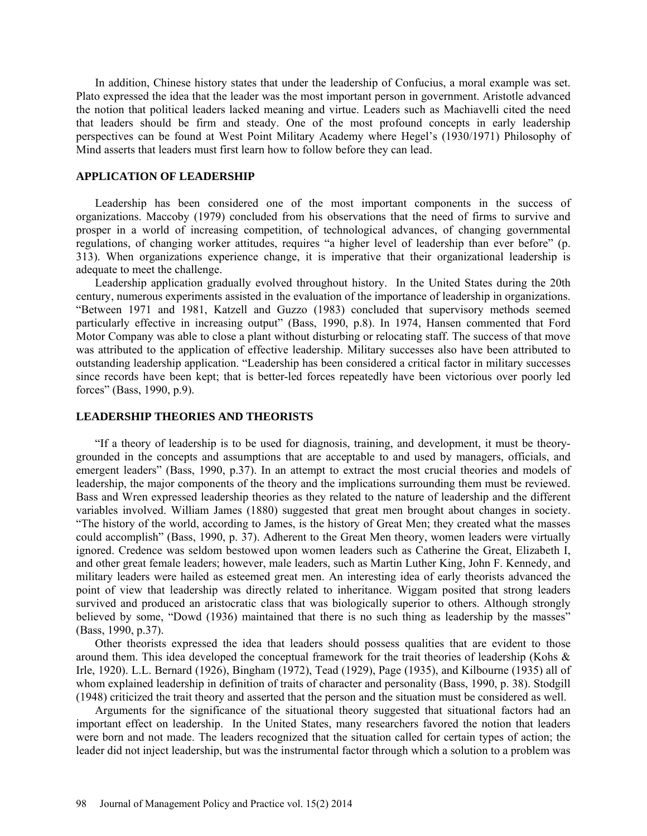In addition, Chinese history states that under the leadership of Confucius, a moral example was set. Plato expressed the idea that the leader was the most important person in government. Aristotle advanced the notion that political leaders lacked meaning and virtue. Leaders such as Machiavelli cited the need that leaders should be firm and steady. One of the most profound concepts in early leadership perspectives can be found at West Point Military Academy where Hegel's (1930/1971) Philosophy of Mind asserts that leaders must first learn how to follow before they can lead.

## **APPLICATION OF LEADERSHIP**

Leadership has been considered one of the most important components in the success of organizations. Maccoby (1979) concluded from his observations that the need of firms to survive and prosper in a world of increasing competition, of technological advances, of changing governmental regulations, of changing worker attitudes, requires "a higher level of leadership than ever before" (p. 313). When organizations experience change, it is imperative that their organizational leadership is adequate to meet the challenge.

Leadership application gradually evolved throughout history. In the United States during the 20th century, numerous experiments assisted in the evaluation of the importance of leadership in organizations. "Between 1971 and 1981, Katzell and Guzzo (1983) concluded that supervisory methods seemed particularly effective in increasing output" (Bass, 1990, p.8). In 1974, Hansen commented that Ford Motor Company was able to close a plant without disturbing or relocating staff. The success of that move was attributed to the application of effective leadership. Military successes also have been attributed to outstanding leadership application. "Leadership has been considered a critical factor in military successes since records have been kept; that is better-led forces repeatedly have been victorious over poorly led forces" (Bass, 1990, p.9).

#### **LEADERSHIP THEORIES AND THEORISTS**

"If a theory of leadership is to be used for diagnosis, training, and development, it must be theorygrounded in the concepts and assumptions that are acceptable to and used by managers, officials, and emergent leaders" (Bass, 1990, p.37). In an attempt to extract the most crucial theories and models of leadership, the major components of the theory and the implications surrounding them must be reviewed. Bass and Wren expressed leadership theories as they related to the nature of leadership and the different variables involved. William James (1880) suggested that great men brought about changes in society. "The history of the world, according to James, is the history of Great Men; they created what the masses could accomplish" (Bass, 1990, p. 37). Adherent to the Great Men theory, women leaders were virtually ignored. Credence was seldom bestowed upon women leaders such as Catherine the Great, Elizabeth I, and other great female leaders; however, male leaders, such as Martin Luther King, John F. Kennedy, and military leaders were hailed as esteemed great men. An interesting idea of early theorists advanced the point of view that leadership was directly related to inheritance. Wiggam posited that strong leaders survived and produced an aristocratic class that was biologically superior to others. Although strongly believed by some, "Dowd (1936) maintained that there is no such thing as leadership by the masses" (Bass, 1990, p.37).

Other theorists expressed the idea that leaders should possess qualities that are evident to those around them. This idea developed the conceptual framework for the trait theories of leadership (Kohs & Irle, 1920). L.L. Bernard (1926), Bingham (1972), Tead (1929), Page (1935), and Kilbourne (1935) all of whom explained leadership in definition of traits of character and personality (Bass, 1990, p. 38). Stodgill (1948) criticized the trait theory and asserted that the person and the situation must be considered as well.

Arguments for the significance of the situational theory suggested that situational factors had an important effect on leadership. In the United States, many researchers favored the notion that leaders were born and not made. The leaders recognized that the situation called for certain types of action; the leader did not inject leadership, but was the instrumental factor through which a solution to a problem was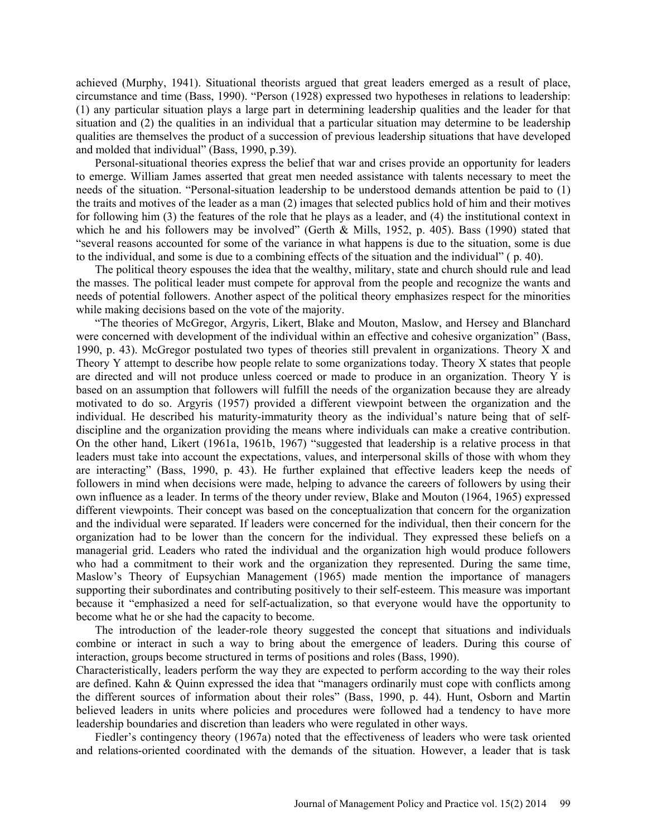achieved (Murphy, 1941). Situational theorists argued that great leaders emerged as a result of place, circumstance and time (Bass, 1990). "Person (1928) expressed two hypotheses in relations to leadership: (1) any particular situation plays a large part in determining leadership qualities and the leader for that situation and (2) the qualities in an individual that a particular situation may determine to be leadership qualities are themselves the product of a succession of previous leadership situations that have developed and molded that individual" (Bass, 1990, p.39).

Personal-situational theories express the belief that war and crises provide an opportunity for leaders to emerge. William James asserted that great men needed assistance with talents necessary to meet the needs of the situation. "Personal-situation leadership to be understood demands attention be paid to (1) the traits and motives of the leader as a man (2) images that selected publics hold of him and their motives for following him (3) the features of the role that he plays as a leader, and (4) the institutional context in which he and his followers may be involved" (Gerth & Mills, 1952, p. 405). Bass (1990) stated that "several reasons accounted for some of the variance in what happens is due to the situation, some is due to the individual, and some is due to a combining effects of the situation and the individual" ( p. 40).

The political theory espouses the idea that the wealthy, military, state and church should rule and lead the masses. The political leader must compete for approval from the people and recognize the wants and needs of potential followers. Another aspect of the political theory emphasizes respect for the minorities while making decisions based on the vote of the majority.

"The theories of McGregor, Argyris, Likert, Blake and Mouton, Maslow, and Hersey and Blanchard were concerned with development of the individual within an effective and cohesive organization" (Bass, 1990, p. 43). McGregor postulated two types of theories still prevalent in organizations. Theory X and Theory Y attempt to describe how people relate to some organizations today. Theory X states that people are directed and will not produce unless coerced or made to produce in an organization. Theory Y is based on an assumption that followers will fulfill the needs of the organization because they are already motivated to do so. Argyris (1957) provided a different viewpoint between the organization and the individual. He described his maturity-immaturity theory as the individual's nature being that of selfdiscipline and the organization providing the means where individuals can make a creative contribution. On the other hand, Likert (1961a, 1961b, 1967) "suggested that leadership is a relative process in that leaders must take into account the expectations, values, and interpersonal skills of those with whom they are interacting" (Bass, 1990, p. 43). He further explained that effective leaders keep the needs of followers in mind when decisions were made, helping to advance the careers of followers by using their own influence as a leader. In terms of the theory under review, Blake and Mouton (1964, 1965) expressed different viewpoints. Their concept was based on the conceptualization that concern for the organization and the individual were separated. If leaders were concerned for the individual, then their concern for the organization had to be lower than the concern for the individual. They expressed these beliefs on a managerial grid. Leaders who rated the individual and the organization high would produce followers who had a commitment to their work and the organization they represented. During the same time, Maslow's Theory of Eupsychian Management (1965) made mention the importance of managers supporting their subordinates and contributing positively to their self-esteem. This measure was important because it "emphasized a need for self-actualization, so that everyone would have the opportunity to become what he or she had the capacity to become.

The introduction of the leader-role theory suggested the concept that situations and individuals combine or interact in such a way to bring about the emergence of leaders. During this course of interaction, groups become structured in terms of positions and roles (Bass, 1990).

Characteristically, leaders perform the way they are expected to perform according to the way their roles are defined. Kahn & Quinn expressed the idea that "managers ordinarily must cope with conflicts among the different sources of information about their roles" (Bass, 1990, p. 44). Hunt, Osborn and Martin believed leaders in units where policies and procedures were followed had a tendency to have more leadership boundaries and discretion than leaders who were regulated in other ways.

Fiedler's contingency theory (1967a) noted that the effectiveness of leaders who were task oriented and relations-oriented coordinated with the demands of the situation. However, a leader that is task